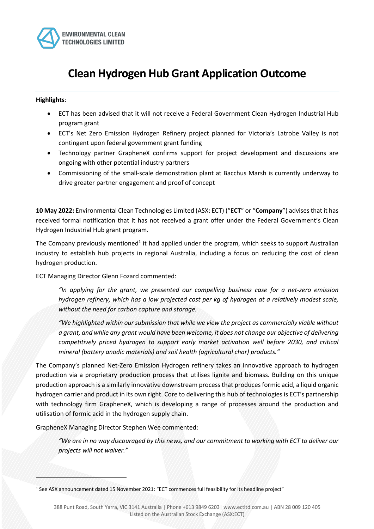

# **Clean Hydrogen Hub Grant Application Outcome**

# **Highlights**:

- ECT has been advised that it will not receive a Federal Government Clean Hydrogen Industrial Hub program grant
- ECT's Net Zero Emission Hydrogen Refinery project planned for Victoria's Latrobe Valley is not contingent upon federal government grant funding
- Technology partner GrapheneX confirms support for project development and discussions are ongoing with other potential industry partners
- Commissioning of the small-scale demonstration plant at Bacchus Marsh is currently underway to drive greater partner engagement and proof of concept

**10 May 2022:** Environmental Clean Technologies Limited (ASX: ECT) ("**ECT**" or "**Company**") advises that it has received formal notification that it has not received a grant offer under the Federal Government's Clean Hydrogen Industrial Hub grant program.

The Company previously mentioned<sup>1</sup> it had applied under the program, which seeks to support Australian industry to establish hub projects in regional Australia, including a focus on reducing the cost of clean hydrogen production.

ECT Managing Director Glenn Fozard commented:

*"In applying for the grant, we presented our compelling business case for a net-zero emission hydrogen refinery, which has a low projected cost per kg of hydrogen at a relatively modest scale, without the need for carbon capture and storage.*

*"We highlighted within our submission that while we view the project as commercially viable without a grant, and while any grant would have been welcome, it does not change our objective of delivering competitively priced hydrogen to support early market activation well before 2030, and critical mineral (battery anodic materials) and soil health (agricultural char) products."*

The Company's planned Net-Zero Emission Hydrogen refinery takes an innovative approach to hydrogen production via a proprietary production process that utilises lignite and biomass. Building on this unique production approach is a similarly innovative downstream process that produces formic acid, a liquid organic hydrogen carrier and product in its own right. Core to delivering this hub of technologies is ECT's partnership with technology firm GrapheneX, which is developing a range of processes around the production and utilisation of formic acid in the hydrogen supply chain.

GrapheneX Managing Director Stephen Wee commented:

*"We are in no way discouraged by this news, and our commitment to working with ECT to deliver our projects will not waiver."*

<sup>1</sup> See ASX announcement dated 15 November 2021: "ECT commences full feasibility for its headline project"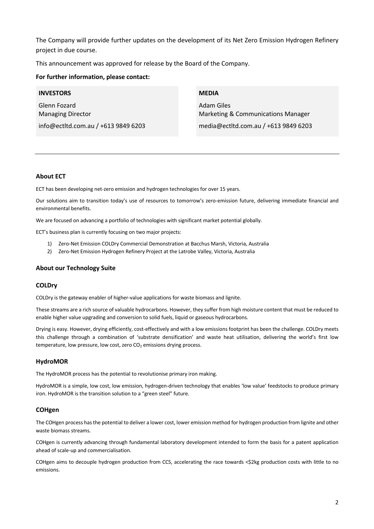The Company will provide further updates on the development of its Net Zero Emission Hydrogen Refinery project in due course.

This announcement was approved for release by the Board of the Company.

# **For further information, please contact:**

#### **INVESTORS**

Glenn Fozard Managing Director info@ectltd.com.au / +613 9849 6203

# **MEDIA**

Adam Giles Marketing & Communications Manager media@ectltd.com.au / +613 9849 6203

#### **About ECT**

ECT has been developing net-zero emission and hydrogen technologies for over 15 years.

Our solutions aim to transition today's use of resources to tomorrow's zero-emission future, delivering immediate financial and environmental benefits.

We are focused on advancing a portfolio of technologies with significant market potential globally.

ECT's business plan is currently focusing on two major projects:

- 1) Zero-Net Emission COLDry Commercial Demonstration at Bacchus Marsh, Victoria, Australia
- 2) Zero-Net Emission Hydrogen Refinery Project at the Latrobe Valley, Victoria, Australia

#### **About our Technology Suite**

#### **COLDry**

COLDry is the gateway enabler of higher-value applications for waste biomass and lignite.

These streams are a rich source of valuable hydrocarbons. However, they suffer from high moisture content that must be reduced to enable higher value upgrading and conversion to solid fuels, liquid or gaseous hydrocarbons.

Drying is easy. However, drying efficiently, cost-effectively and with a low emissions footprint has been the challenge. COLDry meets this challenge through a combination of 'substrate densification' and waste heat utilisation, delivering the world's first low temperature, low pressure, low cost, zero  $CO<sub>2</sub>$  emissions drying process.

#### **HydroMOR**

The HydroMOR process has the potential to revolutionise primary iron making.

HydroMOR is a simple, low cost, low emission, hydrogen-driven technology that enables 'low value' feedstocks to produce primary iron. HydroMOR is the transition solution to a "green steel" future.

# **COHgen**

The COHgen process has the potential to deliver a lower cost, lower emission method for hydrogen production from lignite and other waste biomass streams.

COHgen is currently advancing through fundamental laboratory development intended to form the basis for a patent application ahead of scale-up and commercialisation.

COHgen aims to decouple hydrogen production from CCS, accelerating the race towards <\$2kg production costs with little to no emissions.